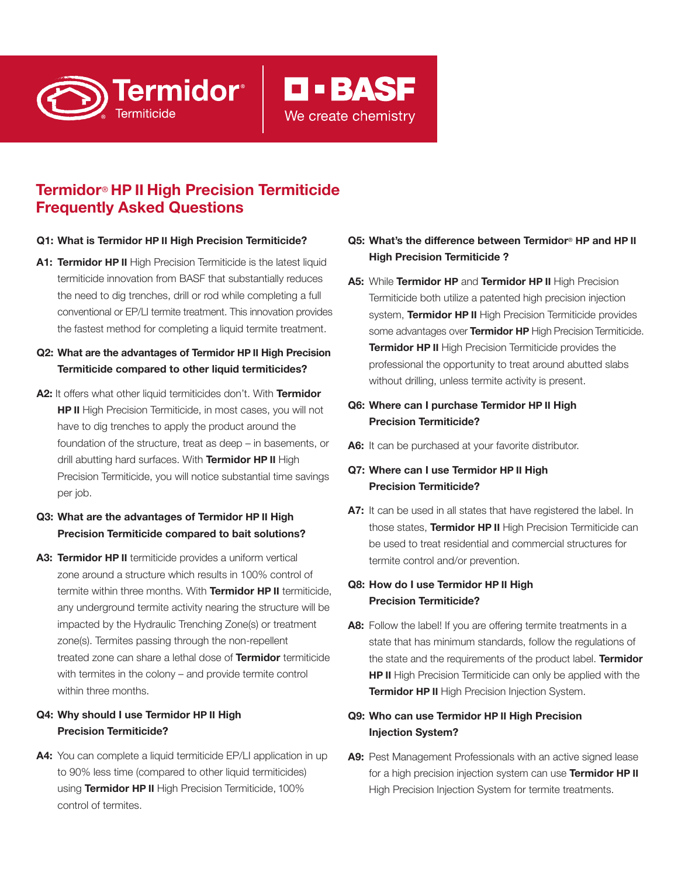# **Termidor**® **HP II High Precision Termiticide Frequently Asked Questions**

#### **Q1: What is Termidor HP II High Precision Termiticide?**

**Termidor**®

- **A1: Termidor HP II** High Precision Termiticide is the latest liquid termiticide innovation from BASF that substantially reduces the need to dig trenches, drill or rod while completing a full conventional or EP/LI termite treatment. This innovation provides the fastest method for completing a liquid termite treatment.
- **Q2: What are the advantages of Termidor HP II High Precision Termiticide compared to other liquid termiticides?**
- **A2:** It offers what other liquid termiticides don't. With **Termidor HP II** High Precision Termiticide, in most cases, you will not have to dig trenches to apply the product around the foundation of the structure, treat as deep – in basements, or drill abutting hard surfaces. With **Termidor HP II** High Precision Termiticide, you will notice substantial time savings per job.

# **Q3: What are the advantages of Termidor HP II High Precision Termiticide compared to bait solutions?**

**A3: Termidor HP II** termiticide provides a uniform vertical zone around a structure which results in 100% control of termite within three months. With **Termidor HP II** termiticide, any underground termite activity nearing the structure will be impacted by the Hydraulic Trenching Zone(s) or treatment zone(s). Termites passing through the non-repellent treated zone can share a lethal dose of **Termidor** termiticide with termites in the colony – and provide termite control within three months.

#### **Q4: Why should I use Termidor HP II High Precision Termiticide?**

A4: You can complete a liquid termiticide EP/LI application in up to 90% less time (compared to other liquid termiticides) using **Termidor HP II** High Precision Termiticide, 100% control of termites.

# **Q5: What's the difference between Termidor**® **HP and HP II High Precision Termiticide ?**

**D-BASF** 

We create chemistry

**A5:** While **Termidor HP** and **Termidor HP II** High Precision Termiticide both utilize a patented high precision injection system, **Termidor HP II** High Precision Termiticide provides some advantages over **Termidor HP** High Precision Termiticide. **Termidor HP II** High Precision Termiticide provides the professional the opportunity to treat around abutted slabs without drilling, unless termite activity is present.

#### **Q6: Where can I purchase Termidor HP II High Precision Termiticide?**

A6: It can be purchased at your favorite distributor.

#### **Q7: Where can I use Termidor HP II High Precision Termiticide?**

A7: It can be used in all states that have registered the label. In those states, **Termidor HP II** High Precision Termiticide can be used to treat residential and commercial structures for termite control and/or prevention.

# **Q8: How do I use Termidor HP II High Precision Termiticide?**

A8: Follow the label! If you are offering termite treatments in a state that has minimum standards, follow the regulations of the state and the requirements of the product label. **Termidor HP II** High Precision Termiticide can only be applied with the **Termidor HP II** High Precision Injection System.

# **Q9: Who can use Termidor HP II High Precision Injection System?**

**A9:** Pest Management Professionals with an active signed lease for a high precision injection system can use **Termidor HP II** High Precision Injection System for termite treatments.